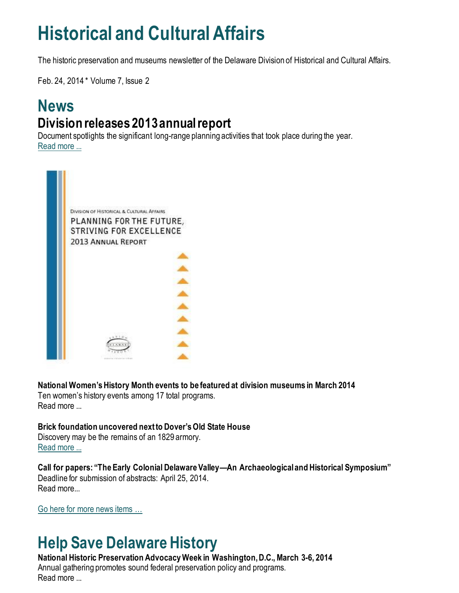## **Historical and Cultural Affairs**

The historic preservation and museums newsletter of the Delaware Division of Historical and Cultural Affairs.

Feb. 24, 2014 \* Volume 7, Issue 2

### **News Division releases 2013 annual report**

Document spotlights the significant long-range planning activities that took place during the year. [Read more ...](https://history.delaware.gov/2014/02/21/division-releases-2013-annual-report/)



**National Women's History Month events to be featured at division museums in March 2014** Ten women's history events among 17 total programs. Read more ...

**Brick foundation uncovered next to Dover's Old State House** Discovery may be the remains of an 1829 armory. [Read more ...](https://history.delaware.gov/2014/02/20/brick-foundation-uncovered-next-to-dovers-old-state-house/)

**Call for papers: "The Early Colonial Delaware Valley—An Archaeological and Historical Symposium"** Deadline for submission of abstracts: April 25, 2014. Read more...

[Go here for more news items …](http://history.blogs.delaware.gov/)

## **Help Save Delaware History**

#### **National Historic Preservation Advocacy Week in Washington, D.C., March 3-6, 2014** Annual gathering promotes sound federal preservation policy and programs. Read more ...